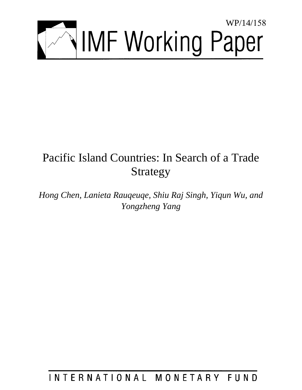

# Pacific Island Countries: In Search of a Trade Strategy

*Hong Chen, Lanieta Rauqeuqe, Shiu Raj Singh, Yiqun Wu, and Yongzheng Yang* 

## INTERNATIONAL MONETARY FUND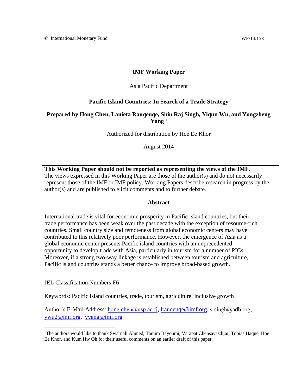## **IMF Working Paper**

### Asia Pacific Department

## **Pacific Island Countries: In Search of a Trade Strategy**

## **Prepared by Hong Chen, Lanieta Rauqeuqe, Shiu Raj Singh, Yiqun Wu, and Yongzheng**   $\mathbf{Yang}^1$

Authorized for distribution by Hoe Ee Khor

August 2014

**This Working Paper should not be reported as representing the views of the IMF.** The views expressed in this Working Paper are those of the author(s) and do not necessarily represent those of the IMF or IMF policy. Working Papers describe research in progress by the author(s) and are published to elicit comments and to further debate.

#### **Abstract**

International trade is vital for economic prosperity in Pacific island countries, but their trade performance has been weak over the past decade with the exception of resource-rich countries. Small country size and remoteness from global economic centers may have contributed to this relatively poor performance. However, the emergence of Asia as a global economic center presents Pacific island countries with an unprecedented opportunity to develop trade with Asia, particularly in tourism for a number of PICs. Moreover, if a strong two-way linkage is established between tourism and agriculture, Pacific island countries stands a better chance to improve broad-based growth.

JEL Classification Numbers:F6

Keywords: Pacific island countries, trade, tourism, agriculture, inclusive growth

Author's E-Mail Address: [hong.chen@usp.ac.fj](mailto:hchen2@worldbank.org), lr[auqeuqe@imf.org,](mailto:lrauqeuqe@imf.org) sr[singh@adb.org,](mailto:ssingh2@imf.org) [ywu2@imf.org,](mailto:ywu2@imf.org) [yyang@imf.org](mailto:yyang@imf.org)

<sup>&</sup>lt;sup>1</sup>The authors would like to thank Swarnali Ahmed, Tamim Bayoumi, Varapat Chensavasdijai, Tobias Haque, Hoe Ee Khor, and Kum Hw Oh for their useful comments on an earlier draft of this paper.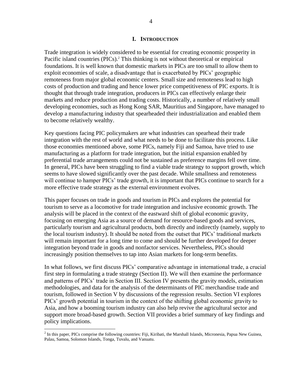#### **I. INTRODUCTION**

Trade integration is widely considered to be essential for creating economic prosperity in Pacific island countries (PICs).<sup>2</sup> This thinking is not without theoretical or empirical foundations. It is well known that domestic markets in PICs are too small to allow them to exploit economies of scale, a disadvantage that is exacerbated by PICs' geographic remoteness from major global economic centers. Small size and remoteness lead to high costs of production and trading and hence lower price competitiveness of PIC exports. It is thought that through trade integration, producers in PICs can effectively enlarge their markets and reduce production and trading costs. Historically, a number of relatively small developing economies, such as Hong Kong SAR, Mauritius and Singapore, have managed to develop a manufacturing industry that spearheaded their industrialization and enabled them to become relatively wealthy.

Key questions facing PIC policymakers are what industries can spearhead their trade integration with the rest of world and what needs to be done to facilitate this process. Like those economies mentioned above, some PICs, namely Fiji and Samoa, have tried to use manufacturing as a platform for trade integration, but the initial expansion enabled by preferential trade arrangements could not be sustained as preference margins fell over time. In general, PICs have been struggling to find a viable trade strategy to support growth, which seems to have slowed significantly over the past decade. While smallness and remoteness will continue to hamper PICs' trade growth, it is important that PICs continue to search for a more effective trade strategy as the external environment evolves.

This paper focuses on trade in goods and tourism in PICs and explores the potential for tourism to serve as a locomotive for trade integration and inclusive economic growth. The analysis will be placed in the context of the eastward shift of global economic gravity, focusing on emerging Asia as a source of demand for resource-based goods and services, particularly tourism and agricultural products, both directly and indirectly (namely, supply to the local tourism industry). It should be noted from the outset that PICs' traditional markets will remain important for a long time to come and should be further developed for deeper integration beyond trade in goods and nonfactor services. Nevertheless, PICs should increasingly position themselves to tap into Asian markets for long-term benefits.

In what follows, we first discuss PICs' comparative advantage in international trade, a crucial first step in formulating a trade strategy (Section II). We will then examine the performance and patterns of PICs' trade in Section III. Section IV presents the gravity models, estimation methodologies, and data for the analysis of the determinants of PIC merchandise trade and tourism, followed in Section V by discussions of the regression results. Section VI explores PICs' growth potential in tourism in the context of the shifting global economic gravity to Asia, and how a booming tourism industry can also help revive the agricultural sector and support more broad-based growth. Section VII provides a brief summary of key findings and policy implications.

 $<sup>2</sup>$  In this paper, PICs comprise the following countries: Fiji, Kiribati, the Marshall Islands, Micronesia, Papua New Guinea,</sup> Palau, Samoa, Solomon Islands, Tonga, Tuvalu, and Vanuatu.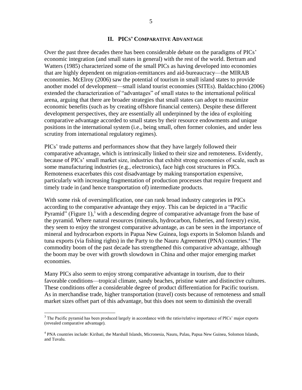## **II. PICS' COMPARATIVE ADVANTAGE**

Over the past three decades there has been considerable debate on the paradigms of PICs' economic integration (and small states in general) with the rest of the world. Bertram and Watters (1985) characterized some of the small PICs as having developed into economies that are highly dependent on migration-remittances and aid-bureaucracy—the MIRAB economies. McElroy (2006) saw the potential of tourism in small island states to provide another model of development—small island tourist economies (SITEs). Baldacchino (2006) extended the characterization of "advantages" of small states to the international political arena, arguing that there are broader strategies that small states can adopt to maximize economic benefits (such as by creating offshore financial centers). Despite these different development perspectives, they are essentially all underpinned by the idea of exploiting comparative advantage accorded to small states by their resource endowments and unique positions in the international system (i.e., being small, often former colonies, and under less scrutiny from international regulatory regimes).

PICs' trade patterns and performances show that they have largely followed their comparative advantage, which is intrinsically linked to their size and remoteness. Evidently, because of PICs' small market size, industries that exhibit strong economies of scale, such as some manufacturing industries (e.g., electronics), face high cost structures in PICs. Remoteness exacerbates this cost disadvantage by making transportation expensive, particularly with increasing fragmentation of production processes that require frequent and timely trade in (and hence transportation of) intermediate products.

With some risk of oversimplification, one can rank broad industry categories in PICs according to the comparative advantage they enjoy. This can be depicted in a "Pacific Pyramid" (Figure 1),<sup>3</sup> with a descending degree of comparative advantage from the base of the pyramid. Where natural resources (minerals, hydrocarbon, fisheries, and forestry) exist, they seem to enjoy the strongest comparative advantage, as can be seen in the importance of mineral and hydrocarbon exports in Papua New Guinea, logs exports in Solomon Islands and tuna exports (via fishing rights) in the Party to the Nauru Agreement (PNA) countries. <sup>4</sup> The commodity boom of the past decade has strengthened this comparative advantage, although the boom may be over with growth slowdown in China and other major emerging market economies.

Many PICs also seem to enjoy strong comparative advantage in tourism, due to their favorable conditions—tropical climate, sandy beaches, pristine water and distinctive cultures. These conditions offer a considerable degree of product differentiation for Pacific tourism. As in merchandise trade, higher transportation (travel) costs because of remoteness and small market sizes offset part of this advantage, but this does not seem to diminish the overall

 $3$  The Pacific pyramid has been produced largely in accordance with the ratio/relative importance of PICs' major exports (revealed comparative advantage).

<sup>4</sup> PNA countries include: Kiribati, the Marshall Islands, Micronesia, Nauru, Palau, Papua New Guinea, Solomon Islands, and Tuvalu.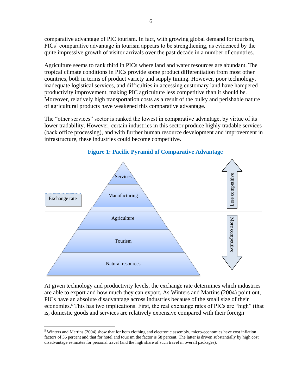comparative advantage of PIC tourism. In fact, with growing global demand for tourism, PICs' comparative advantage in tourism appears to be strengthening, as evidenced by the quite impressive growth of visitor arrivals over the past decade in a number of countries.

Agriculture seems to rank third in PICs where land and water resources are abundant. The tropical climate conditions in PICs provide some product differentiation from most other countries, both in terms of product variety and supply timing. However, poor technology, inadequate logistical services, and difficulties in accessing customary land have hampered productivity improvement, making PIC agriculture less competitive than it should be. Moreover, relatively high transportation costs as a result of the bulky and perishable nature of agricultural products have weakened this comparative advantage.

The "other services" sector is ranked the lowest in comparative advantage, by virtue of its lower tradability. However, certain industries in this sector produce highly tradable services (back office processing), and with further human resource development and improvement in infrastructure, these industries could become competitive.



## **Figure 1: Pacific Pyramid of Comparative Advantage**

At given technology and productivity levels, the exchange rate determines which industries are able to export and how much they can export. As Winters and Martins (2004) point out, PICs have an absolute disadvantage across industries because of the small size of their economies.<sup>5</sup> This has two implications. First, the real exchange rates of PICs are "high" (that is, domestic goods and services are relatively expensive compared with their foreign

 $<sup>5</sup>$  Winters and Martins (2004) show that for both clothing and electronic assembly, micro-economies have cost inflation</sup> factors of 36 percent and that for hotel and tourism the factor is 58 percent. The latter is driven substantially by high cost disadvantage estimates for personal travel (and the high share of such travel in overall packages).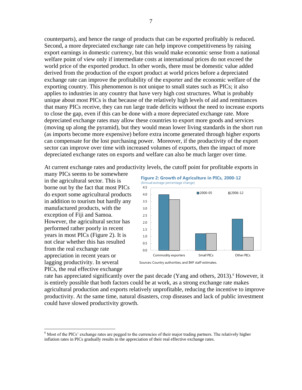counterparts), and hence the range of products that can be exported profitably is reduced. Second, a more depreciated exchange rate can help improve competitiveness by raising export earnings in domestic currency, but this would make economic sense from a national welfare point of view only if intermediate costs at international prices do not exceed the world price of the exported product. In other words, there must be domestic value added derived from the production of the export product at world prices before a depreciated exchange rate can improve the profitability of the exporter and the economic welfare of the exporting country. This phenomenon is not unique to small states such as PICs; it also applies to industries in any country that have very high cost structures. What is probably unique about most PICs is that because of the relatively high levels of aid and remittances that many PICs receive, they can run large trade deficits without the need to increase exports to close the gap, even if this can be done with a more depreciated exchange rate. More depreciated exchange rates may allow these countries to export more goods and services (moving up along the pyramid), but they would mean lower living standards in the short run (as imports become more expensive) before extra income generated through higher exports can compensate for the lost purchasing power. Moreover, if the productivity of the export sector can improve over time with increased volumes of exports, then the impact of more depreciated exchange rates on exports and welfare can also be much larger over time.

At current exchange rates and productivity levels, the cutoff point for profitable exports in

many PICs seems to be somewhere in the agricultural sector. This is borne out by the fact that most PICs do export some agricultural products in addition to tourism but hardly any manufactured products, with the exception of Fiji and Samoa. However, the agricultural sector has performed rather poorly in recent years in most PICs (Figure 2). It is not clear whether this has resulted from the real exchange rate appreciation in recent years or lagging productivity. In several PICs, the real effective exchange

 $\overline{a}$ 





Sources: Country authorities; and IMF staff estimates.

rate has appreciated significantly over the past decade (Yang and others, 2013).<sup>6</sup> However, it is entirely possible that both factors could be at work, as a strong exchange rate makes agricultural production and exports relatively unprofitable, reducing the incentive to improve productivity. At the same time, natural disasters, crop diseases and lack of public investment could have slowed productivity growth.

<sup>&</sup>lt;sup>6</sup> Most of the PICs' exchange rates are pegged to the currencies of their major trading partners. The relatively higher inflation rates in PICs gradually results in the appreciation of their real effective exchange rates.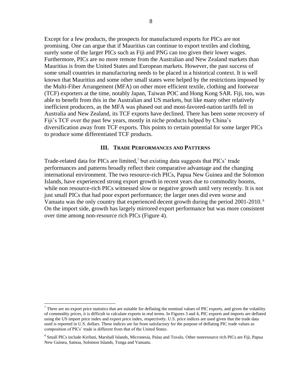Except for a few products, the prospects for manufactured exports for PICs are not promising. One can argue that if Mauritius can continue to export textiles and clothing, surely some of the larger PICs such as Fiji and PNG can too given their lower wages. Furthermore, PICs are no more remote from the Australian and New Zealand markets than Mauritius is from the United States and European markets. However, the past success of some small countries in manufacturing needs to be placed in a historical context. It is well known that Mauritius and some other small states were helped by the restrictions imposed by the Multi-Fiber Arrangement (MFA) on other more efficient textile, clothing and footwear (TCF) exporters at the time, notably Japan, Taiwan POC and Hong Kong SAR. Fiji, too, was able to benefit from this in the Australian and US markets, but like many other relatively inefficient producers, as the MFA was phased out and most-favored-nation tariffs fell in Australia and New Zealand, its TCF exports have declined. There has been some recovery of Fiji's TCF over the past few years, mostly in niche products helped by China's diversification away from TCF exports. This points to certain potential for some larger PICs to produce some differentiated TCF products.

#### **III. TRADE PERFORMANCES AND PATTERNS**

Trade-related data for PICs are limited,<sup>7</sup> but existing data suggests that PICs' trade performances and patterns broadly reflect their comparative advantage and the changing international environment. The two resource-rich PICs, Papua New Guinea and the Solomon Islands, have experienced strong export growth in recent years due to commodity booms, while non resource-rich PICs witnessed slow or negative growth until very recently. It is not just small PICs that had poor export performance; the larger ones did even worse and Vanuatu was the only country that experienced decent growth during the period 2001-2010.<sup>8</sup> On the import side, growth has largely mirrored export performance but was more consistent over time among non-resource rich PICs (Figure 4).

 $7$  There are no export price statistics that are suitable for deflating the nominal values of PIC exports, and given the volatility of commodity prices, it is difficult to calculate exports in real terms. In Figures 3 and 4, PIC exports and imports are deflated using the US import price index and export price index, respectively. U.S. price indices are used given that the trade data used is reported in U.S. dollars. These indices are far from satisfactory for the purpose of deflating PIC trade values as composition of PICs' trade is different from that of the United States.

<sup>&</sup>lt;sup>8</sup> Small PICs include Kiribati, Marshall Islands, Micronesia, Palau and Tuvalu. Other nonresource rich PICs are Fiji, Papua New Guinea, Samoa, Solomon Islands, Tonga and Vanuatu.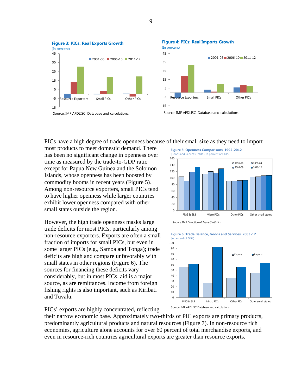

PICs have a high degree of trade openness because of their small size as they need to import

 $40$ 60 80

most products to meet domestic demand. There has been no significant change in openness over time as measured by the trade-to-GDP ratio except for Papua New Guinea and the Solomon Islands, whose openness has been boosted by commodity booms in recent years (Figure 5). Among non-resource exporters, small PICs tend to have higher openness while larger countries exhibit lower openness compared with other small states outside the region.

However, the high trade openness masks large trade deficits for most PICs, particularly among non-resource exporters. Exports are often a small fraction of imports for small PICs, but even in some larger PICs (e.g., Samoa and Tonga); trade deficits are high and compare unfavorably with small states in other regions (Figure 6). The sources for financing these deficits vary considerably, but in most PICs, aid is a major source, as are remittances. Income from foreign fishing rights is also important, such as Kiribati and Tuvalu.

100 120 140 160  $1995-99$  2000-04 2005-09 2010-12 (Goods and Services Trade - In percent of GDP)

**Figure 5: Openness Comparisons, 1995-2012**



PICs' exports are highly concentrated, reflecting

their narrow economic base. Approximately two-thirds of PIC exports are primary products, predominantly agricultural products and natural resources (Figure 7). In non-resource rich economies, agriculture alone accounts for over 60 percent of total merchandise exports, and even in resource-rich countries agricultural exports are greater than resource exports.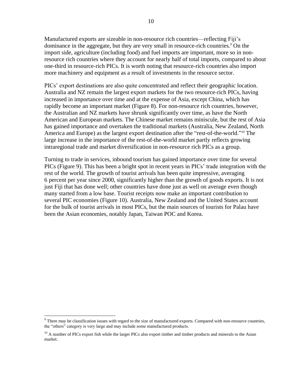Manufactured exports are sizeable in non-resource rich countries—reflecting Fiji's dominance in the aggregate, but they are very small in resource-rich countries.<sup>9</sup> On the import side, agriculture (including food) and fuel imports are important, more so in nonresource rich countries where they account for nearly half of total imports, compared to about one-third in resource-rich PICs. It is worth noting that resource-rich countries also import more machinery and equipment as a result of investments in the resource sector.

PICs' export destinations are also quite concentrated and reflect their geographic location. Australia and NZ remain the largest export markets for the two resource-rich PICs, having increased in importance over time and at the expense of Asia, except China, which has rapidly become an important market (Figure 8). For non-resource rich countries, however, the Australian and NZ markets have shrunk significantly over time, as have the North American and European markets. The Chinese market remains miniscule, but the rest of Asia has gained importance and overtaken the traditional markets (Australia, New Zealand, North America and Europe) as the largest export destination after the "rest-of-the-world."<sup>10</sup> The large increase in the importance of the rest-of-the-world market partly reflects growing intraregional trade and market diversification in non-resource rich PICs as a group.

Turning to trade in services, inbound tourism has gained importance over time for several PICs (Figure 9). This has been a bright spot in recent years in PICs' trade integration with the rest of the world. The growth of tourist arrivals has been quite impressive, averaging 6 percent per year since 2000, significantly higher than the growth of goods exports. It is not just Fiji that has done well; other countries have done just as well on average even though many started from a low base. Tourist receipts now make an important contribution to several PIC economies (Figure 10). Australia, New Zealand and the United States account for the bulk of tourist arrivals in most PICs, but the main sources of tourists for Palau have been the Asian economies, notably Japan, Taiwan POC and Korea.

<sup>&</sup>lt;sup>9</sup> There may be classification issues with regard to the size of manufactured exports. Compared with non-resource countries, the "others" category is very large and may include some manufactured products.

 $10$  A number of PICs export fish while the larger PICs also export timber and timber products and minerals to the Asian market.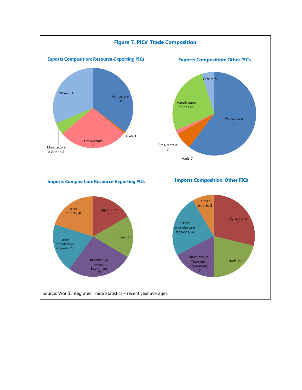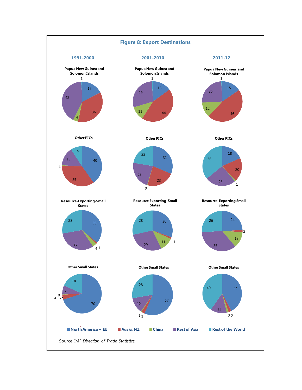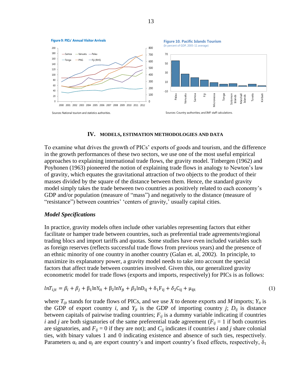

#### **IV. MODELS, ESTIMATION METHODOLOGIES AND DATA**

To examine what drives the growth of PICs' exports of goods and tourism, and the difference in the growth performances of these two sectors, we use one of the most useful empirical approaches to explaining international trade flows, the gravity model. Tinbergen (1962) and Poyhonen (1963) pioneered the notion of explaining trade flows in analogy to Newton's law of gravity, which equates the gravitational attraction of two objects to the product of their masses divided by the square of the distance between them. Hence, the standard gravity model simply takes the trade between two countries as positively related to each economy's GDP and/or population (measure of "mass") and negatively to the distance (measure of "resistance") between countries' 'centers of gravity,' usually capital cities.

#### *Model Specifications*

In practice, gravity models often include other variables representing factors that either facilitate or hamper trade between countries, such as preferential trade agreements/regional trading blocs and import tariffs and quotas. Some studies have even included variables such as foreign reserves (reflects successful trade flows from previous years) and the presence of an ethnic minority of one country in another country (Galan et. al, 2002). In principle, to maximize its explanatory power, a gravity model needs to take into account the special factors that affect trade between countries involved. Given this, our generalized gravity econometric model for trade flows (exports and imports, respectively) for PICs is as follows:

$$
lnT_{ijt} = \beta_i + \beta_j + \beta_1 lnY_{it} + \beta_2 lnY_{it} + \beta_3 lnD_{ij} + \delta_1 F_{ij} + \delta_2 C_{ij} + \mu_{ijt}
$$
\n(1)

where  $T_{ijt}$  stands for trade flows of PICs, and we use *X* to denote exports and *M* imports;  $Y_{it}$  is the GDP of export country *i*, and  $Y_{jt}$  is the GDP of importing country *j*;  $D_{ij}$  is distance between capitals of pairwise trading countries;  $F_{ij}$  is a dummy variable indicating if countries *i* and *j* are both signatories of the same preferential trade agreement ( $F_{ij} = 1$  if both countries are signatories, and  $F_{ij} = 0$  if they are not); and  $C_{ij}$  indicates if countries *i* and *j* share colonial ties, with binary values 1 and 0 indicating existence and absence of such ties, respectively. Parameters  $\alpha_i$  and  $\alpha_j$  are export country's and import country's fixed effects, respectively,  $\delta_1$ 

13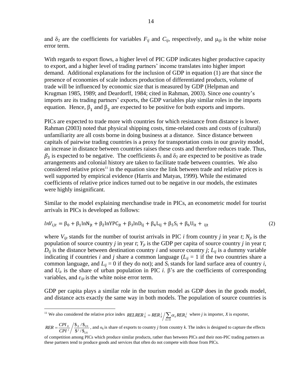and  $\delta_2$  are the coefficients for variables  $F_{ij}$  and  $C_{ij}$ , respectively, and  $\mu_{ijt}$  is the white noise error term.

With regards to export flows, a higher level of PIC GDP indicates higher productive capacity to export, and a higher level of trading partners' income translates into higher import demand. Additional explanations for the inclusion of GDP in equation (1) are that since the presence of economies of scale induces production of differentiated products, volume of trade will be influenced by economic size that is measured by GDP (Helpman and Krugman 1985, 1989; and Deardorff, 1984; cited in Rahman, 2003). Since one country's imports are its trading partners' exports, the GDP variables play similar roles in the imports equation. Hence,  $\beta_1$  and  $\beta_2$  are expected to be positive for both exports and imports.

PICs are expected to trade more with countries for which resistance from distance is lower. Rahman (2003) noted that physical shipping costs, time-related costs and costs of (cultural) unfamiliarity are all costs borne in doing business at a distance. Since distance between capitals of pairwise trading countries is a proxy for transportation costs in our gravity model, an increase in distance between countries raises these costs and therefore reduces trade. Thus,  $\beta_3$  is expected to be negative. The coefficients  $\delta_1$  and  $\delta_2$  are expected to be positive as trade arrangements and colonial history are taken to facilitate trade between countries. We also considered relative prices<sup>11</sup> in the equation since the link between trade and relative prices is well supported by empirical evidence (Harris and Matyas, 1999). While the estimated coefficients of relative price indices turned out to be negative in our models, the estimates were highly insignificant.

Similar to the model explaining merchandise trade in PICs, an econometric model for tourist arrivals in PICs is developed as follows:

$$
lnV_{ijt} = \beta_0 + \beta_1 lnN_{it} + \beta_2 lnYPC_{it} + \beta_3 lnD_{ij} + \beta_4 L_{ij} + \beta_5 S_i + \beta_6 U_{it} + i_{it}
$$
 (2)

where  $V_{ijt}$  stands for the number of tourist arrivals in PIC *i* from country *j* in year *t*;  $N_{jt}$  is the population of source country *j* in year *t*;  $Y_{it}$  is the GDP per capita of source country *j* in year *t*;  $D_{ij}$  is the distance between destination country *i* and source country *j*;  $L_{ij}$  is a dummy variable indicating if countries *i* and *j* share a common language  $(L_{ij} = 1$  if the two countries share a common language, and  $L_{ij} = 0$  if they do not); and  $S_i$  stands for land surface area of country *i*, and  $U_{it}$  is the share of urban population in PIC *i*.  $\beta$ 's are the coefficients of corresponding variables, and  $\varepsilon_{ijt}$  is the white noise error term.

GDP per capita plays a similar role in the tourism model as GDP does in the goods model, and distance acts exactly the same way in both models. The population of source countries is

<sup>11</sup> We also considered the relative price index *RELRER*<sup>*i*</sup><sub>*x*</sub> = *RER*<sup>*i*</sup><sub>*x*</sub>  $\sum_{k \neq X}$  $=$ *k X RELRER*<sup>*j*</sup> = *RER*<sup>*j*</sup> /  $\sum \alpha_k R E R_k^j$  where *j* is importer, *X* is exporter,

 $RER = \frac{CPI_X}{CPI} / \frac{\$_X/\$_{US}}{\$^j/\$_{US}}$  $=\frac{CPI_x}{CPI_x}/\frac{\$x}{\$y/s}}$ , and  $\alpha_k$  is share of exports to country *j* from country *k*. The index is designed to capture the effects

of competition among PICs which produce similar products, rather than between PICs and their non-PIC trading partners as these partners tend to produce goods and services that often do not compete with those from PICs.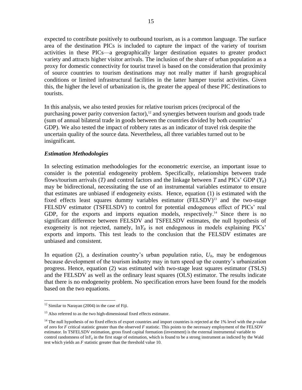expected to contribute positively to outbound tourism, as is a common language. The surface area of the destination PICs is included to capture the impact of the variety of tourism activities in these PICs—a geographically larger destination equates to greater product variety and attracts higher visitor arrivals. The inclusion of the share of urban population as a proxy for domestic connectivity for tourist travel is based on the consideration that proximity of source countries to tourism destinations may not really matter if harsh geographical conditions or limited infrastructural facilities in the latter hamper tourist activities. Given this, the higher the level of urbanization is, the greater the appeal of these PIC destinations to tourists.

In this analysis, we also tested proxies for relative tourism prices (reciprocal of the purchasing power parity conversion factor), $12$  and synergies between tourism and goods trade (sum of annual bilateral trade in goods between the countries divided by both countries' GDP). We also tested the impact of robbery rates as an indicator of travel risk despite the uncertain quality of the source data. Nevertheless, all three variables turned out to be insignificant.

## *Estimation Methodologies*

In selecting estimation methodologies for the econometric exercise, an important issue to consider is the potential endogeneity problem. Specifically, relationships between trade flows/tourism arrivals  $(T)$  and control factors and the linkage between  $T$  and  $\text{PICs'}$  GDP  $(Y_i)$ may be bidirectional, necessitating the use of an instrumental variables estimator to ensure that estimates are unbiased if endogeneity exists. Hence, equation (1) is estimated with the fixed effects least squares dummy variables estimator (FELSDV)<sup>13</sup> and the two-stage FELSDV estimator (TSFELSDV) to control for potential endogenous effect of PICs' real GDP, for the exports and imports equation models, respectively.<sup>14</sup> Since there is no significant difference between FELSDV and TSFELSDV estimates, the null hypothesis of exogeneity is not rejected, namely,  $\ln Y_i$  is not endogenous in models explaining PICs' exports and imports. This test leads to the conclusion that the FELSDV estimates are unbiased and consistent.

In equation (2), a destination country's urban population ratio,  $U_{it}$ , may be endogenous because development of the tourism industry may in turn speed up the country's urbanization progress. Hence, equation (2) was estimated with two-stage least squares estimator (TSLS) and the FELSDV as well as the ordinary least squares (OLS) estimator. The results indicate that there is no endogeneity problem. No specification errors have been found for the models based on the two equations.

 $12$  Similar to Narayan (2004) in the case of Fiji.

<sup>&</sup>lt;sup>13</sup> Also referred to as the two high-dimensional fixed effects estimator.

<sup>&</sup>lt;sup>14</sup> The null hypothesis of no fixed effects of export countries and import countries is rejected at the 1% level with the *p*-value of zero for *F* critical statistic greater than the observed *F* statistic. This points to the necessary employment of the FELSDV estimator. In TSFELSDV estimation, gross fixed capital formation (investment) is the external instrumental variable to control randomness of  $\ln Y_{ii}$  in the first stage of estimation, which is found to be a strong instrument as indicted by the Wald test which yields an *F* statistic greater than the threshold value 10.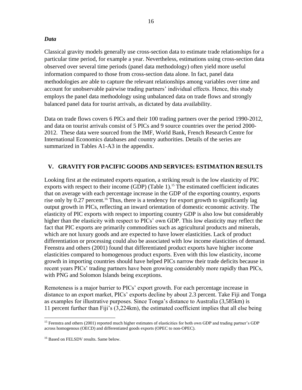## *Data*

Classical gravity models generally use cross-section data to estimate trade relationships for a particular time period, for example a year. Nevertheless, estimations using cross-section data observed over several time periods (panel data methodology) often yield more useful information compared to those from cross-section data alone. In fact, panel data methodologies are able to capture the relevant relationships among variables over time and account for unobservable pairwise trading partners' individual effects. Hence, this study employs the panel data methodology using unbalanced data on trade flows and strongly balanced panel data for tourist arrivals, as dictated by data availability.

Data on trade flows covers 6 PICs and their 100 trading partners over the period 1990-2012, and data on tourist arrivals consist of 5 PICs and 9 source countries over the period 2000- 2012. These data were sourced from the IMF, World Bank, French Research Centre for International Economics databases and country authorities. Details of the series are summarized in Tables A1-A3 in the appendix.

## **V. GRAVITY FOR PACIFIC GOODS AND SERVICES: ESTIMATION RESULTS**

Looking first at the estimated exports equation, a striking result is the low elasticity of PIC exports with respect to their income (GDP) (Table 1).<sup>15</sup> The estimated coefficient indicates that on average with each percentage increase in the GDP of the exporting country, exports rise only by 0.27 percent.<sup>16</sup> Thus, there is a tendency for export growth to significantly lag output growth in PICs, reflecting an inward orientation of domestic economic activity. The elasticity of PIC exports with respect to importing country GDP is also low but considerably higher than the elasticity with respect to PICs' own GDP. This low elasticity may reflect the fact that PIC exports are primarily commodities such as agricultural products and minerals, which are not luxury goods and are expected to have lower elasticities. Lack of product differentiation or processing could also be associated with low income elasticities of demand. Feenstra and others (2001) found that differentiated product exports have higher income elasticities compared to homogenous product exports. Even with this low elasticity, income growth in importing countries should have helped PICs narrow their trade deficits because in recent years PICs' trading partners have been growing considerably more rapidly than PICs, with PNG and Solomon Islands being exceptions.

Remoteness is a major barrier to PICs' export growth. For each percentage increase in distance to an export market, PICs' exports decline by about 2.3 percent. Take Fiji and Tonga as examples for illustrative purposes. Since Tonga's distance to Australia (3,585km) is 11 percent further than Fiji's (3,224km), the estimated coefficient implies that all else being

 $\overline{a}$ <sup>15</sup> Feenstra and others (2001) reported much higher estimates of elasticities for both own GDP and trading partner's GDP across homogenous (OECD) and differentiated goods exports (OPEC to non-OPEC).

<sup>&</sup>lt;sup>16</sup> Based on FELSDV results. Same below.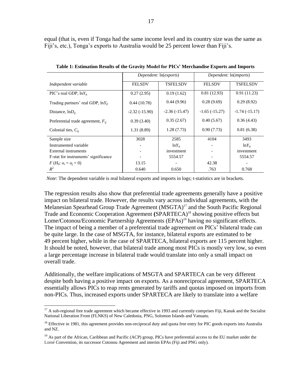equal (that is, even if Tonga had the same income level and its country size was the same as Fiji's, etc.), Tonga's exports to Australia would be 25 percent lower than Fiji's.

|                                        | Dependent: ln(exports)           |                 | Dependent: ln(imports) |                 |  |
|----------------------------------------|----------------------------------|-----------------|------------------------|-----------------|--|
| Independent variable                   | <b>TSFELSDV</b><br><b>FELSDV</b> |                 | <b>FELSDV</b>          | <b>TSFELSDV</b> |  |
| PIC's real GDP, $lnY_{it}$             | 0.27(2.95)                       | 0.19(1.62)      | 0.81(12.93)            | 0.91(11.23)     |  |
| Trading partners' real GDP, $lnY_{it}$ | 0.44(10.78)                      | 0.44(9.96)      | 0.28(9.69)             | 0.29(8.92)      |  |
| Distance, $lnD_{ii}$                   | $-2.32(-15.90)$                  | $-2.36(-15.47)$ | $-1.65(-15.27)$        | $-1.74(-15.17)$ |  |
| Preferential trade agreement, $F_{ii}$ | 0.39(3.40)                       | 0.35(2.67)      |                        | 0.36(4.43)      |  |
| Colonial ties, $C_{ii}$                | 1.31(8.89)                       | 1.28(7.73)      | 0.90(7.73)             | 0.81(6.38)      |  |
| Sample size                            | 3028                             | 2585            | 4104                   | 3493            |  |
| Instrumented variable                  |                                  | $lnY_{it}$      |                        | $\ln Y_{it}$    |  |
| External instruments                   |                                  | investment      |                        | investment      |  |
| F-stat for instruments' significance   |                                  | 5554.57         |                        | 5554.57         |  |
| $F(H_0: \alpha_i = \alpha_i = 0)$      | 13.15                            |                 | 42.38                  |                 |  |
| $R^2$                                  | 0.640                            | 0.650           | .763                   | 0.768           |  |

**Table 1: Estimation Results of the Gravity Model for PICs' Merchandise Exports and Imports**

*Note*: The dependent variable is real bilateral exports and imports in logs; t-statistics are in brackets.

The regression results also show that preferential trade agreements generally have a positive impact on bilateral trade. However, the results vary across individual agreements, with the Melanesian Spearhead Group Trade Agreement (MSGTA)<sup>17</sup> and the South Pacific Regional Trade and Economic Cooperation Agreement **(**SPARTECA)<sup>18</sup> showing positive effects but Lome/Cotonou/Economic Partnership Agreements (EPAs)<sup>19</sup> having no significant effects. The impact of being a member of a preferential trade agreement on PICs' bilateral trade can be quite large. In the case of MSGTA, for instance, bilateral exports are estimated to be 49 percent higher, while in the case of SPARTECA, bilateral exports are 115 percent higher. It should be noted, however, that bilateral trade among most PICs is mostly very low, so even a large percentage increase in bilateral trade would translate into only a small impact on overall trade.

Additionally, the welfare implications of MSGTA and SPARTECA can be very different despite both having a positive impact on exports. As a nonreciprocal agreement, SPARTECA essentially allows PICs to reap rents generated by tariffs and quotas imposed on imports from non-PICs. Thus, increased exports under SPARTECA are likely to translate into a welfare

 $17$  A sub-regional free trade agreement which became effective in 1993 and currently comprises Fiji, Kanak and the Socialist National Liberation Front (FLNKS) of New Caledonia, PNG, Solomon Islands and Vanuatu.

 $18$  Effective in 1981, this agreement provides non-reciprocal duty and quota free entry for PIC goods exports into Australia and NZ.

 $19$  As part of the African, Caribbean and Pacific (ACP) group, PICs have preferential access to the EU market under the Lomé Convention, its successor Cotonou Agreement and interim EPAs (Fiji and PNG only).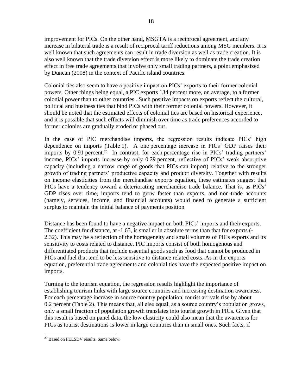improvement for PICs. On the other hand, MSGTA is a reciprocal agreement, and any increase in bilateral trade is a result of reciprocal tariff reductions among MSG members. It is well known that such agreements can result in trade diversion as well as trade creation. It is also well known that the trade diversion effect is more likely to dominate the trade creation effect in free trade agreements that involve only small trading partners, a point emphasized by Duncan (2008) in the context of Pacific island countries.

Colonial ties also seem to have a positive impact on PICs' exports to their former colonial powers. Other things being equal, a PIC exports 134 percent more, on average, to a former colonial power than to other countries . Such positive impacts on exports reflect the cultural, political and business ties that bind PICs with their former colonial powers. However, it should be noted that the estimated effects of colonial ties are based on historical experience, and it is possible that such effects will diminish over time as trade preferences accorded to former colonies are gradually eroded or phased out.

In the case of PIC merchandise imports, the regression results indicate PICs' high dependence on imports (Table 1). A one percentage increase in PICs' GDP raises their imports by 0.91 percent. 20 In contrast, for each percentage rise in PICs' trading partners' income, PICs' imports increase by only 0.29 percent, reflective of PICs' weak absorptive capacity (including a narrow range of goods that PICs can import) relative to the stronger growth of trading partners' productive capacity and product diversity. Together with results on income elasticities from the merchandise exports equation, these estimates suggest that PICs have a tendency toward a deteriorating merchandise trade balance. That is, as PICs' GDP rises over time, imports tend to grow faster than exports, and non-trade accounts (namely, services, income, and financial accounts) would need to generate a sufficient surplus to maintain the initial balance of payments position.

Distance has been found to have a negative impact on both PICs' imports and their exports. The coefficient for distance, at -1.65, is smaller in absolute terms than that for exports (- 2.32). This may be a reflection of the homogeneity and small volumes of PICs exports and its sensitivity to costs related to distance. PIC imports consist of both homogenous and differentiated products that include essential goods such as food that cannot be produced in PICs and fuel that tend to be less sensitive to distance related costs. As in the exports equation, preferential trade agreements and colonial ties have the expected positive impact on imports.

Turning to the tourism equation, the regression results highlight the importance of establishing tourism links with large source countries and increasing destination awareness. For each percentage increase in source country population, tourist arrivals rise by about 0.2 percent (Table 2). This means that, all else equal, as a source country's population grows, only a small fraction of population growth translates into tourist growth in PICs. Given that this result is based on panel data, the low elasticity could also mean that the awareness for PICs as tourist destinations is lower in large countries than in small ones. Such facts, if

<sup>&</sup>lt;sup>20</sup> Based on FELSDV results. Same below.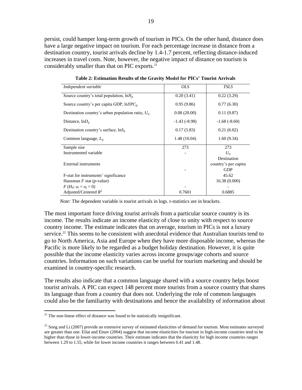persist, could hamper long-term growth of tourism in PICs. On the other hand, distance does have a large negative impact on tourism. For each percentage increase in distance from a destination country, tourist arrivals decline by 1.4-1.7 percent, reflecting distance-induced increases in travel costs. Note, however, the negative impact of distance on tourism is considerably smaller than that on PIC exports. $21$ 

| Independent variable                                   | <i>OLS</i>     | <b>TSLS</b>          |
|--------------------------------------------------------|----------------|----------------------|
| Source country's total population, $ln N_{it}$         | 0.20(3.41)     | 0.22(3.29)           |
| Source country's per capita GDP, $lnYPC_i$             | 0.95(9.86)     | 0.77(6.30)           |
| Destination country's urban population ratio, $U_{it}$ | 0.08(20.00)    | 0.11(9.87)           |
| Distance, $lnD_{ii}$                                   | $-1.43(-8.98)$ | $-1.68(-8.60)$       |
| Destination country's surface, $\ln S_{it}$            | 0.17(5.83)     | 0.21(6.02)           |
| Common language, $L_{ii}$                              | 1.48(10.04)    | 1.60(9.34)           |
| Sample size                                            | 273            | 273                  |
| Instrumented variable                                  |                | $U_{it}$             |
|                                                        |                | Destination          |
| External instruments                                   |                | country's per capita |
|                                                        |                | <b>GDP</b>           |
| F-stat for instruments' significance                   |                | 45.62                |
| Hausman $F$ stat ( <i>p</i> -value)                    |                | 16.38(0.000)         |
| $F(H_0: \alpha_i = \alpha_j = 0)$                      |                |                      |
| Adjusted/Centered $R^2$                                | 0.7601         | 0.6885               |

**Table 2: Estimation Results of the Gravity Model for PICs' Tourist Arrivals**

*Note*: The dependent variable is tourist arrivals in logs. t-statistics are in brackets.

The most important force driving tourist arrivals from a particular source country is its income. The results indicate an income elasticity of close to unity with respect to source country income. The estimate indicates that on average, tourism in PICs is not a luxury service.<sup>22</sup> This seems to be consistent with anecdotal evidence that Australian tourists tend to go to North America, Asia and Europe when they have more disposable income, whereas the Pacific is more likely to be regarded as a budget holiday destination. However, it is quite possible that the income elasticity varies across income groups/age cohorts and source countries. Information on such variations can be useful for tourism marketing and should be examined in country-specific research.

The results also indicate that a common language shared with a source country helps boost tourist arrivals. A PIC can expect 148 percent more tourists from a source country that shares its language than from a country that does not. Underlying the role of common languages could also be the familiarity with destinations and hence the availability of information about

 $21$ <sup>21</sup> The non-linear effect of distance was found to be statistically insignificant.

 $^{22}$  Song and Li (2007) provide an extensive survey of estimated elasticities of demand for tourism. Most estimates surveyed are greater than one. Eilat and Einav (2004) suggest that income elasticities for tourism in high-income countries tend to be higher than those in lower-income countries. Their estimate indicates that the elasticity for high income countries ranges between 1.29 to 1.55, while for lower income countries it ranges between 0.41 and 1.48.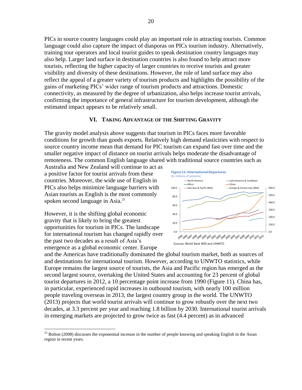PICs in source country languages could play an important role in attracting tourists. Common language could also capture the impact of diasporas on PICs tourism industry. Alternatively, training tour operators and local tourist guides to speak destination country languages may also help. Larger land surface in destination countries is also found to help attract more tourists, reflecting the higher capacity of larger countries to receive tourists and greater visibility and diversity of these destinations. However, the role of land surface may also reflect the appeal of a greater variety of tourism products and highlights the possibility of the gains of marketing PICs' wider range of tourism products and attractions. Domestic connectivity, as measured by the degree of urbanization, also helps increase tourist arrivals, confirming the importance of general infrastructure for tourism development, although the estimated impact appears to be relatively small.

#### **VI. TAKING ADVANTAGE OF THE SHIFTING GRAVITY**

The gravity model analysis above suggests that tourism in PICs faces more favorable conditions for growth than goods exports. Relatively high demand elasticities with respect to source country income mean that demand for PIC tourism can expand fast over time and the smaller negative impact of distance on tourist arrivals helps moderate the disadvantage of remoteness. The common English language shared with traditional source countries such as

Australia and New Zealand will continue to act as a positive factor for tourist arrivals from these countries. Moreover, the wide use of English in PICs also helps minimize language barriers with Asian tourists as English is the most commonly spoken second language in Asia.<sup>23</sup>

However, it is the shifting global economic gravity that is likely to bring the greatest opportunities for tourism in PICs. The landscape for international tourism has changed rapidly over the past two decades as a result of Asia's emergence as a global economic center. Europe

 $\overline{a}$ 



and the Americas have traditionally dominated the global tourism market, both as sources of and destinations for international tourism. However, according to UNWTO statistics, while Europe remains the largest source of tourists, the Asia and Pacific region has emerged as the second largest source, overtaking the United States and accounting for 23 percent of global tourist departures in 2012, a 10 percentage point increase from 1990 (Figure 11). China has, in particular, experienced rapid increases in outbound tourism, with nearly 100 million people traveling overseas in 2013, the largest country group in the world. The UNWTO (2013) projects that world tourist arrivals will continue to grow robustly over the next two decades, at 3.3 percent per year and reaching 1.8 billion by 2030. International tourist arrivals in emerging markets are projected to grow twice as fast (4.4 percent) as in advanced

<sup>&</sup>lt;sup>23</sup> Bolton (2008) discusses the exponential increase in the number of people knowing and speaking English in the Asian region in recent years.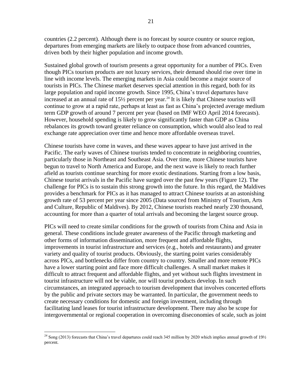countries (2.2 percent). Although there is no forecast by source country or source region, departures from emerging markets are likely to outpace those from advanced countries, driven both by their higher population and income growth.

Sustained global growth of tourism presents a great opportunity for a number of PICs. Even though PICs tourism products are not luxury services, their demand should rise over time in line with income levels. The emerging markets in Asia could become a major source of tourists in PICs. The Chinese market deserves special attention in this regard, both for its large population and rapid income growth. Since 1995, China's travel departures have increased at an annual rate of 15½ percent per year. <sup>24</sup> It is likely that Chinese tourists will continue to grow at a rapid rate, perhaps at least as fast as China's projected average medium term GDP growth of around 7 percent per year (based on IMF WEO April 2014 forecasts). However, household spending is likely to grow significantly faster than GDP as China rebalances its growth toward greater reliance on consumption, which would also lead to real exchange rate appreciation over time and hence more affordable overseas travel.

Chinese tourists have come in waves, and these waves appear to have just arrived in the Pacific. The early waves of Chinese tourists tended to concentrate in neighboring countries, particularly those in Northeast and Southeast Asia. Over time, more Chinese tourists have begun to travel to North America and Europe, and the next wave is likely to reach further afield as tourists continue searching for more exotic destinations. Starting from a low basis, Chinese tourist arrivals in the Pacific have surged over the past few years (Figure 12). The challenge for PICs is to sustain this strong growth into the future. In this regard, the Maldives provides a benchmark for PICs as it has managed to attract Chinese tourists at an astonishing growth rate of 53 percent per year since 2005 (Data sourced from Ministry of Tourism, Arts and Culture, Republic of Maldives). By 2012, Chinese tourists reached nearly 230 thousand, accounting for more than a quarter of total arrivals and becoming the largest source group.

PICs will need to create similar conditions for the growth of tourists from China and Asia in general. These conditions include greater awareness of the Pacific through marketing and other forms of information dissemination, more frequent and affordable flights, improvements in tourist infrastructure and services (e.g., hotels and restaurants) and greater variety and quality of tourist products. Obviously, the starting point varies considerably across PICs, and bottlenecks differ from country to country. Smaller and more remote PICs have a lower starting point and face more difficult challenges. A small market makes it difficult to attract frequent and affordable flights, and yet without such flights investment in tourist infrastructure will not be viable, nor will tourist products develop. In such circumstances, an integrated approach to tourism development that involves concerted efforts by the public and private sectors may be warranted. In particular, the government needs to create necessary conditions for domestic and foreign investment, including through facilitating land leases for tourist infrastructure development. There may also be scope for intergovernmental or regional cooperation in overcoming diseconomies of scale, such as joint

 $^{24}$  Song (2013) forecasts that China's travel departures could reach 345 million by 2020 which implies annual growth of 19½ percent.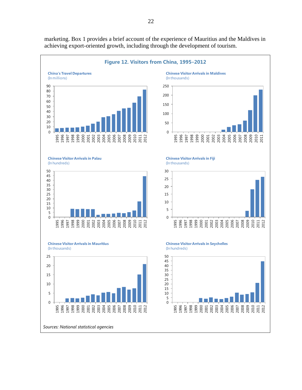

marketing. Box 1 provides a brief account of the experience of Mauritius and the Maldives in achieving export-oriented growth, including through the development of tourism.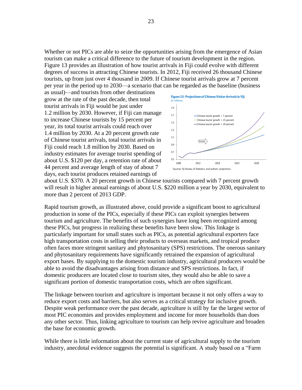Whether or not PICs are able to seize the opportunities arising from the emergence of Asian tourism can make a critical difference to the future of tourism development in the region. Figure 13 provides an illustration of how tourist arrivals in Fiji could evolve with different degrees of success in attracting Chinese tourists. In 2012, Fiji received 26 thousand Chinese tourists, up from just over 4 thousand in 2009. If Chinese tourist arrivals grow at 7 percent per year in the period up to 2030—a scenario that can be regarded as the baseline (business

as usual)—and tourists from other destinations grow at the rate of the past decade, then total tourist arrivals in Fiji would be just under 1.2 million by 2030. However, if Fiji can manage to increase Chinese tourists by 15 percent per year, its total tourist arrivals could reach over 1.4 million by 2030. At a 20 percent growth rate of Chinese tourist arrivals, total tourist arrivals in Fiji could reach 1.8 million by 2030. Based on industry estimates for average tourist spending of about U.S. \$120 per day, a retention rate of about 44 percent and average length of stay of about 7 days, each tourist produces retained earnings of



about U.S. \$370. A 20 percent growth in Chinese tourists compared with 7 percent growth will result in higher annual earnings of about U.S. \$220 million a year by 2030, equivalent to more than 2 percent of 2013 GDP.

Rapid tourism growth, as illustrated above, could provide a significant boost to agricultural production in some of the PICs, especially if these PICs can exploit synergies between tourism and agriculture. The benefits of such synergies have long been recognized among these PICs, but progress in realizing these benefits have been slow. This linkage is particularly important for small states such as PICs, as potential agricultural exporters face high transportation costs in selling their products to overseas markets, and tropical produce often faces more stringent sanitary and phytosanitary (SPS) restrictions. The onerous sanitary and phytosanitary requirements have significantly retrained the expansion of agricultural export bases. By supplying to the domestic tourism industry, agricultural producers would be able to avoid the disadvantages arising from distance and SPS restrictions. In fact, if domestic producers are located close to tourism sites, they would also be able to save a significant portion of domestic transportation costs, which are often significant.

The linkage between tourism and agriculture is important because it not only offers a way to reduce export costs and barriers, but also serves as a critical strategy for inclusive growth. Despite weak performance over the past decade, agriculture is still by far the largest sector of most PIC economies and provides employment and income for more households than does any other sector. Thus, linking agriculture to tourism can help revive agriculture and broaden the base for economic growth.

While there is little information about the current state of agricultural supply to the tourism industry, anecdotal evidence suggests the potential is significant. A study based on a "Farm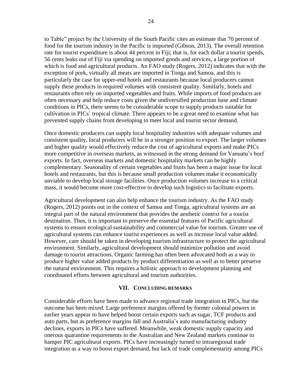to Table" project by the University of the South Pacific cites an estimate that 70 percent of food for the tourism industry in the Pacific is imported (Gibson, 2013). The overall retention rate for tourist expenditure is about 44 percent in Fiji; that is, for each dollar a tourist spends, 56 cents leaks out of Fiji via spending on imported goods and services, a large portion of which is food and agricultural products. An FAO study (Rogers, 2012) indicates that with the exception of pork, virtually all meats are imported in Tonga and Samoa, and this is particularly the case for upper-end hotels and restaurants because local producers cannot supply these products in required volumes with consistent quality. Similarly, hotels and restaurants often rely on imported vegetables and fruits. While imports of food products are often necessary and help reduce costs given the undiversified production base and climate conditions in PICs, there seems to be considerable scope to supply products suitable for cultivation in PICs' tropical climate. There appears to be a great need to examine what has prevented supply chains from developing to meet local and tourist sector demand.

Once domestic producers can supply local hospitality industries with adequate volumes and consistent quality, local producers will be in a stronger position to export. The larger volumes and higher quality would effectively reduce the cost of agricultural exports and make PICs more competitive in overseas markets, as witnessed in the strong demand for Vanuatu's beef exports. In fact, overseas markets and domestic hospitality markets can be highly complementary. Seasonality of certain vegetables and fruits has been a major issue for local hotels and restaurants, but this is because small production volumes make it economically unviable to develop local storage facilities. Once production volumes increase to a critical mass, it would become more cost-effective to develop such logistics to facilitate exports.

Agricultural development can also help enhance the tourism industry. As the FAO study (Rogers, 2012) points out in the context of Samoa and Tonga, agricultural systems are an integral part of the natural environment that provides the aesthetic context for a tourist destination. Thus, it is important to preserve the essential features of Pacific agricultural systems to ensure ecological sustainability and commercial value for tourism. Greater use of agricultural systems can enhance tourist experiences as well as increase local value added. However, care should be taken in developing tourism infrastructure to protect the agricultural environment. Similarly, agricultural development should minimize pollution and avoid damage to tourist attractions. Organic farming has often been advocated both as a way to produce higher value added products by product differentiation as well as to better preserve the natural environment. This requires a holistic approach to development planning and coordinated efforts between agricultural and tourism authorities.

#### **VII. CONCLUDING REMARKS**

Considerable efforts have been made to advance regional trade integration in PICs, but the outcome has been mixed. Large preference margins offered by former colonial powers in earlier years appear to have helped boost certain exports such as sugar, TCF products and auto parts, but as preference margins fall and Australia's auto manufacturing industry declines, exports in PICs have suffered. Meanwhile, weak domestic supply capacity and onerous quarantine requirements in the Australian and New Zealand markets continue to hamper PIC agricultural exports. PICs have increasingly turned to intraregional trade integration as a way to boost export demand, but lack of trade complementarity among PICs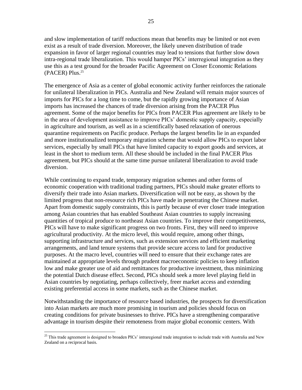and slow implementation of tariff reductions mean that benefits may be limited or not even exist as a result of trade diversion. Moreover, the likely uneven distribution of trade expansion in favor of larger regional countries may lead to tensions that further slow down intra-regional trade liberalization. This would hamper PICs' interregional integration as they use this as a test ground for the broader Pacific Agreement on Closer Economic Relations (PACER) Plus. 25

The emergence of Asia as a center of global economic activity further reinforces the rationale for unilateral liberalization in PICs. Australia and New Zealand will remain major sources of imports for PICs for a long time to come, but the rapidly growing importance of Asian imports has increased the chances of trade diversion arising from the PACER Plus agreement. Some of the major benefits for PICs from PACER Plus agreement are likely to be in the area of development assistance to improve PICs' domestic supply capacity, especially in agriculture and tourism, as well as in a scientifically based relaxation of onerous quarantine requirements on Pacific produce. Perhaps the largest benefits lie in an expanded and more institutionalized temporary migration scheme that would allow PICs to export labor services, especially by small PICs that have limited capacity to export goods and services, at least in the short to medium term. All these should be included in the final PACER Plus agreement, but PICs should at the same time pursue unilateral liberalization to avoid trade diversion.

While continuing to expand trade, temporary migration schemes and other forms of economic cooperation with traditional trading partners, PICs should make greater efforts to diversify their trade into Asian markets. Diversification will not be easy, as shown by the limited progress that non-resource rich PICs have made in penetrating the Chinese market. Apart from domestic supply constraints, this is partly because of ever closer trade integration among Asian countries that has enabled Southeast Asian countries to supply increasing quantities of tropical produce to northeast Asian countries. To improve their competitiveness, PICs will have to make significant progress on two fronts. First, they will need to improve agricultural productivity. At the micro level, this would require, among other things, supporting infrastructure and services, such as extension services and efficient marketing arrangements, and land tenure systems that provide secure access to land for productive purposes. At the macro level, countries will need to ensure that their exchange rates are maintained at appropriate levels through prudent macroeconomic policies to keep inflation low and make greater use of aid and remittances for productive investment, thus minimizing the potential Dutch disease effect. Second, PICs should seek a more level playing field in Asian countries by negotiating, perhaps collectively, freer market access and extending existing preferential access in some markets, such as the Chinese market.

Notwithstanding the importance of resource based industries, the prospects for diversification into Asian markets are much more promising in tourism and policies should focus on creating conditions for private businesses to thrive. PICs have a strengthening comparative advantage in tourism despite their remoteness from major global economic centers. With

 $\overline{a}$ <sup>25</sup> This trade agreement is designed to broaden PICs' intraregional trade integration to include trade with Australia and New Zealand on a reciprocal basis.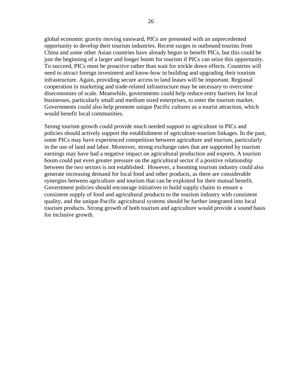global economic gravity moving eastward, PICs are presented with an unprecedented opportunity to develop their tourism industries. Recent surges in outbound tourists from China and some other Asian countries have already begun to benefit PICs, but this could be just the beginning of a larger and longer boom for tourism if PICs can seize this opportunity. To succeed, PICs must be proactive rather than wait for trickle down effects. Countries will need to attract foreign investment and know-how in building and upgrading their tourism infrastructure. Again, providing secure access to land leases will be important. Regional cooperation in marketing and trade-related infrastructure may be necessary to overcome diseconomies of scale. Meanwhile, governments could help reduce entry barriers for local businesses, particularly small and medium sized enterprises, to enter the tourism market. Governments could also help promote unique Pacific cultures as a tourist attraction, which would benefit local communities.

Strong tourism growth could provide much needed support to agriculture in PICs and policies should actively support the establishment of agriculture-tourism linkages. In the past, some PICs may have experienced competition between agriculture and tourism, particularly in the use of land and labor. Moreover, strong exchange rates that are supported by tourism earnings may have had a negative impact on agricultural production and exports. A tourism boom could put even greater pressure on the agricultural sector if a positive relationship between the two sectors is not established. However, a booming tourism industry could also generate increasing demand for local food and other products, as there are considerable synergies between agriculture and tourism that can be exploited for their mutual benefit. Government policies should encourage initiatives to build supply chains to ensure a consistent supply of food and agricultural products to the tourism industry with consistent quality, and the unique Pacific agricultural systems should be further integrated into local tourism products. Strong growth of both tourism and agriculture would provide a sound basis for inclusive growth.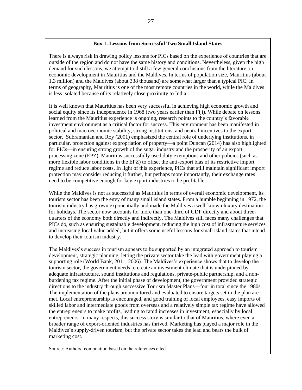### **Box 1. Lessons from Successful Two Small Island States**

There is always risk in drawing policy lessons for PICs based on the experience of countries that are outside of the region and do not have the same history and conditions. Nevertheless, given the high demand for such lessons, we attempt to distill a few general conclusions from the literature on economic development in Mauritius and the Maldives. In terms of population size, Mauritius (about 1.3 million) and the Maldives (about 338 thousand) are somewhat larger than a typical PIC. In terms of geography, Mauritius is one of the most remote countries in the world, while the Maldives is less isolated because of its relatively close proximity to India.

It is well known that Mauritius has been very successful in achieving high economic growth and social equity since its independence in 1968 (two years earlier than Fiji). While debate on lessons learned from the Mauritius experience is ongoing, research points to the country's favorable investment environment as a critical factor for success. This environment has been manifested in political and macroeconomic stability, strong institutions, and neutral incentives to the export sector. Subramanian and Roy (2001) emphasized the central role of underlying institutions, in particular, protection against expropriation of property—a point Duncan (2014) has also highlighted for PICs—in ensuring strong growth of the sugar industry and the prosperity of an export processing zone (EPZ). Mauritius successfully used duty exemptions and other policies (such as more flexible labor conditions in the EPZ) to offset the anti-export bias of its restrictive import regime and reduce labor costs. In light of this experience, PICs that still maintain significant import protection may consider reducing it further, but perhaps more importantly, their exchange rates need to be competitive enough for key export industries to be profitable.

While the Maldives is not as successful as Mauritius in terms of overall economic development, its tourism sector has been the envy of many small island states. From a humble beginning in 1972, the tourism industry has grown exponentially and made the Maldives a well-known luxury destination for holidays. The sector now accounts for more than one-third of GDP directly and about threequarters of the economy both directly and indirectly. The Maldives still faces many challenges that PICs do, such as ensuring sustainable development, reducing the high cost of infrastructure services and increasing local value added, but it offers some useful lessons for small island states that intend to develop their tourism industry.

The Maldives's success in tourism appears to be supported by an integrated approach to tourism development, strategic planning, letting the private sector take the lead with government playing a supporting role (World Bank, 2011; 2006). The Maldives's experience shows that to develop the tourism sector, the government needs to create an investment climate that is underpinned by adequate infrastructure, sound institutions and regulations, private-public partnership, and a nonburdening tax regime. After the initial phase of development, the government provided strategic directions to the industry through successive Tourism Master Plans—four in total since the 1980s. The implementation of the plans are monitored and evaluated to ensure targets set in the plan are met. Local entrepreneurship is encouraged, and good training of local employees, easy imports of skilled labor and intermediate goods from overseas and a relatively simple tax regime have allowed the entrepreneurs to make profits, leading to rapid increases in investment, especially by local entrepreneurs. In many respects, this success story is similar to that of Mauritius, where even a broader range of export-oriented industries has thrived. Marketing has played a major role in the Maldives's supply-driven tourism, but the private sector takes the lead and bears the bulk of marketing cost.

Source: Authors' compilation based on the references cited.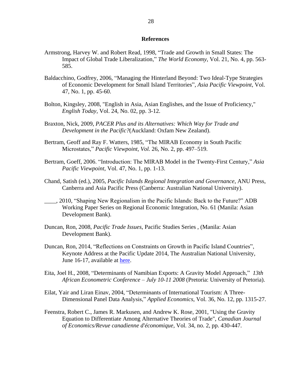#### **References**

- Armstrong, Harvey W. and Robert Read, 1998, "Trade and Growth in Small States: The Impact of Global Trade Liberalization," *The World Economy*, Vol. 21, No. 4, pp. 563- 585.
- Baldacchino, Godfrey, 2006, "Managing the Hinterland Beyond: Two Ideal‐Type Strategies of Economic Development for Small Island Territories", *Asia Pacific Viewpoint*, Vol. 47, No. 1, pp. 45-60.
- Bolton, Kingsley, 2008, "English in Asia, Asian Englishes, and the Issue of Proficiency," *English Today,* Vol. 24, No. 02, pp. 3-12.
- Braxton, Nick, 2009, *PACER Plus and its Alternatives: Which Way for Trade and Development in the Pacific?*(Auckland: Oxfam New Zealand).
- Bertram, Geoff and Ray F. Watters, 1985, "The MIRAB Economy in South Pacific Microstates," *Pacific Viewpoint*, *Vol.* 26, No. 2, pp. 497–519.
- Bertram, Goeff, 2006. "Introduction: The MIRAB Model in the Twenty-First Century," *Asia Pacific Viewpoint*, Vol. 47, No. 1, pp. 1-13.
- Chand, Satish (ed.), 2005, *Pacific Islands Regional Integration and Governance*, ANU Press, Canberra and Asia Pacific Press (Canberra: Australian National University).
- \_\_\_\_, 2010, "Shaping New Regionalism in the Pacific Islands: Back to the Future?" ADB Working Paper Series on Regional Economic Integration, No. 61 (Manila: Asian Development Bank).
- Duncan, Ron, 2008, *Pacific Trade Issues*, Pacific Studies Series , (Manila: Asian Development Bank).
- Duncan, Ron, 2014, "Reflections on Constraints on Growth in Pacific Island Countries", Keynote Address at the Pacific Update 2014, The Australian National University, June 16-17, available at [here.](http://devpolicy.us2.list-manage1.com/track/click?u=6ac2f42002877850c37072a5e&id=3be43c3f52&e=5d8f849b9c)
- Eita, Joel H., 2008, "Determinants of Namibian Exports: A Gravity Model Approach," *13th African Econometric Conference – July 10-11 2008* (Pretoria: University of Pretoria).
- Eilat, Yair and Liran Einav, 2004, "Determinants of International Tourism: A Three-Dimensional Panel Data Analysis," *Applied Economics*, Vol. 36, No. 12, pp. 1315-27.
- Feenstra, Robert C., James R. Markusen, and Andrew K. Rose, 2001, "Using the Gravity Equation to Differentiate Among Alternative Theories of Trade", *Canadian Journal of Economics/Revue canadienne d'économique,* Vol. 34, no. 2, pp. 430-447.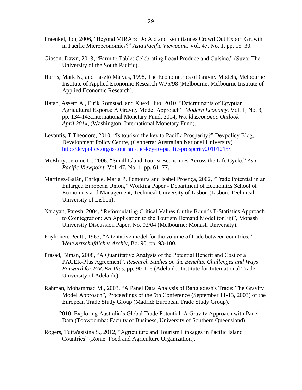- Fraenkel, Jon, 2006, "Beyond MIRAB: Do Aid and Remittances Crowd Out Export Growth in Pacific Microeconomies?" *Asia Pacific Viewpoint*, Vol. 47, No. 1, pp. 15–30.
- Gibson, Dawn, 2013, "Farm to Table: Celebrating Local Produce and Cuisine," (Suva: The University of the South Pacific).
- Harris, Mark N., and László Mátyás, 1998, The Econometrics of Gravity Models*,* Melbourne Institute of Applied Economic Research WP5/98 (Melbourne: Melbourne Institute of Applied Economic Research).
- Hatab, Assem A., Eirik Romstad, and Xuexi Huo, 2010, "Determinants of Egyptian Agricultural Exports: A Gravity Model Approach", *Modern Economy*, Vol. 1, No. 3, pp. 134-143.International Monetary Fund, 2014, *World Economic Outlook – April 2014*, (Washington: International Monetary Fund).
- Levantis, T Theodore, 2010, "Is tourism the key to Pacific Prosperity?" Devpolicy Blog, Development Policy Centre, (Canberra: Australian National University) [http://devpolicy.org/is-tourism-the-key-to-pacific-prosperity20101215/.](http://devpolicy.org/is-tourism-the-key-to-pacific-prosperity20101215/)
- McElroy, Jerome L., 2006, "Small Island Tourist Economies Across the Life Cycle," *Asia Pacific Viewpoint*, Vol. 47, No. 1, pp. 61–77.
- Martínez-Galán, Enrique, Maria P. Fontoura and Isabel Proença, 2002, "Trade Potential in an Enlarged European Union," Working Paper - Department of Economics School of Economics and Management, Technical University of Lisbon (Lisbon: Technical University of Lisbon).
- Narayan, Paresh, 2004, "Reformulating Critical Values for the Bounds F-Statistics Approach to Cointegration: An Application to the Tourism Demand Model for Fiji", Monash University Discussion Paper, No. 02/04 (Melbourne: Monash University).
- Pöyhönen, Pentti, 1963, "A tentative model for the volume of trade between countries," *Weltwirtschaftliches Archiv*, Bd. 90, pp. 93-100.
- Prasad, Biman, 2008, "A Quantitative Analysis of the Potential Benefit and Cost of a PACER-Plus Agreement", *Research Studies on the Benefits, Challenges and Ways Forward for PACER-Plus*, pp. 90-116 (Adelaide: Institute for International Trade, University of Adelaide).
- Rahman, Mohammad M., 2003, "A Panel Data Analysis of Bangladesh's Trade: The Gravity Model Approach", Proceedings of the 5th Conference (September 11-13, 2003) of the European Trade Study Group (Madrid: European Trade Study Group).
- \_\_\_\_, 2010, Exploring Australia's Global Trade Potential: A Gravity Approach with Panel Data (Toowoomba: Faculty of Business, University of Southern Queensland).
- Rogers, Tuifa'asisina S., 2012, "Agriculture and Tourism Linkages in Pacific Island Countries" (Rome: Food and Agriculture Organization).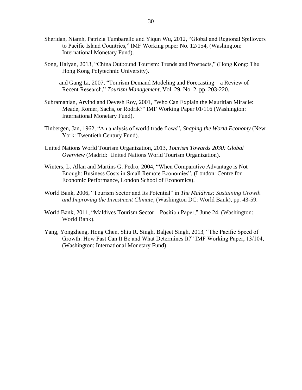- Sheridan, Niamh, Patrizia Tumbarello and Yiqun Wu, 2012, "Global and Regional Spillovers to Pacific Island Countries," IMF Working paper No. 12/154, (Washington: International Monetary Fund).
- Song, Haiyan, 2013, "China Outbound Tourism: Trends and Prospects," (Hong Kong: The Hong Kong Polytechnic University).
- \_\_\_\_ and Gang Li, 2007, "Tourism Demand Modeling and Forecasting—a Review of Recent Research," *Tourism Management*, Vol. 29, No. 2, pp. 203-220.
- Subramanian, Arvind and Devesh Roy, 2001, "Who Can Explain the Mauritian Miracle: Meade, Romer, Sachs, or Rodrik?" IMF Working Paper 01/116 (Washington: International Monetary Fund).
- Tinbergen, Jan, 1962, "An analysis of world trade flows", *Shaping the World Economy* (New York: Twentieth Century Fund).
- United Nations World Tourism Organization, 2013, *Tourism Towards 2030: Global Overview* (Madrid: United Nations World Tourism Organization).
- Winters, L. Allan and Martins G. Pedro, 2004, "When Comparative Advantage is Not Enough: Business Costs in Small Remote Economies", (London: Centre for Economic Performance, London School of Economics).
- World Bank, 2006, "Tourism Sector and Its Potential" in *The Maldives: Sustaining Growth and Improving the Investment Climate*, (Washington DC: World Bank), pp. 43-59.
- World Bank, 2011, "Maldives Tourism Sector Position Paper," June 24, (Washington: World Bank).
- Yang, Yongzheng, Hong Chen, Shiu R. Singh, Baljeet Singh, 2013, "The Pacific Speed of Growth: How Fast Can It Be and What Determines It?" IMF Working Paper, 13/104, (Washington: International Monetary Fund).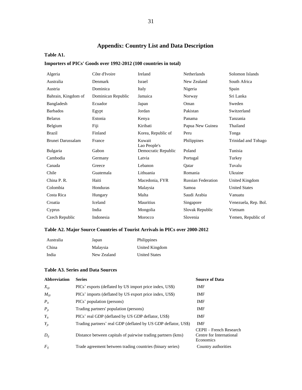## **Appendix: Country List and Data Description**

## **Table A1.**

## **Importers of PICs' Goods over 1992-2012 (100 countries in total)**

|                     | Côte d'Ivoire      | Ireland                | Netherlands               | Solomon Islands      |
|---------------------|--------------------|------------------------|---------------------------|----------------------|
| Algeria             |                    |                        |                           |                      |
| Australia           | Denmark            | Israel                 | New Zealand               | South Africa         |
| Austria             | Dominica           | Italy                  | Nigeria                   | Spain                |
| Bahrain, Kingdom of | Dominican Republic | Jamaica                | Norway                    | Sri Lanka            |
| Bangladesh          | Ecuador            | Japan                  | Oman                      | Sweden               |
| <b>Barbados</b>     | Egypt              | Jordan                 | Pakistan                  | Switzerland          |
| <b>Belarus</b>      | Estonia            | Kenya                  | Panama                    | Tanzania             |
| Belgium             | Fiji               | Kiribati               | Papua New Guinea          | Thailand             |
| <b>Brazil</b>       | Finland            | Korea, Republic of     | Peru                      | Tonga                |
| Brunei Darussalam   | France             | Kuwait<br>Lao People's | Philippines               | Trinidad and Tobago  |
| Bulgaria            | Gabon              | Democratic Republic    | Poland                    | Tunisia              |
| Cambodia            | Germany            | Latvia                 | Portugal                  | Turkey               |
| Canada              | Greece             | Lebanon                | Oatar                     | Tuvalu               |
| Chile               | Guatemala          | Lithuania              | Romania                   | Ukraine              |
| China P. R.         | Haiti              | Macedonia, FYR         | <b>Russian Federation</b> | United Kingdom       |
| Colombia            | Honduras           | Malaysia               | Samoa                     | <b>United States</b> |
| Costa Rica          | Hungary            | Malta                  | Saudi Arabia              | Vanuatu              |
| Croatia             | Iceland            | Mauritius              | Singapore                 | Venezuela, Rep. Bol. |
| Cyprus              | India              | Mongolia               | Slovak Republic           | Vietnam              |
| Czech Republic      | Indonesia          | Morocco                | Slovenia                  | Yemen, Republic of   |

#### **Table A2. Major Source Countries of Tourist Arrivals in PICs over 2000-2012**

| Australia | Japan       | Philippines          |
|-----------|-------------|----------------------|
| China     | Malaysia    | United Kingdom       |
| India     | New Zealand | <b>United States</b> |

#### **Table A3. Series and Data Sources**

| Abbreviation | <b>Series</b>                                                  | <b>Source of Data</b>                                            |
|--------------|----------------------------------------------------------------|------------------------------------------------------------------|
| $X_{ijt}$    | PICs' exports (deflated by US import price index, US\$)        | IMF                                                              |
| $M_{ijt}$    | PICs' imports (deflated by US export price index, US\$)        | IMF                                                              |
| $P_{it}$     | PICs' population (persons)                                     | IMF                                                              |
| $P_{it}$     | Trading partners' population (persons)                         | IMF                                                              |
| $Y_{it}$     | PICs' real GDP (deflated by US GDP deflator, US\$)             | IMF                                                              |
| $Y_{it}$     | Trading partners' real GDP (deflated by US GDP deflator, US\$) | <b>IMF</b>                                                       |
| $D_{ij}$     | Distance between capitals of pairwise trading partners (kms)   | CEPII – French Research<br>Centre for International<br>Economics |
| $F_{ii}$     | Trade agreement between trading countries (binary series)      | Country authorities                                              |